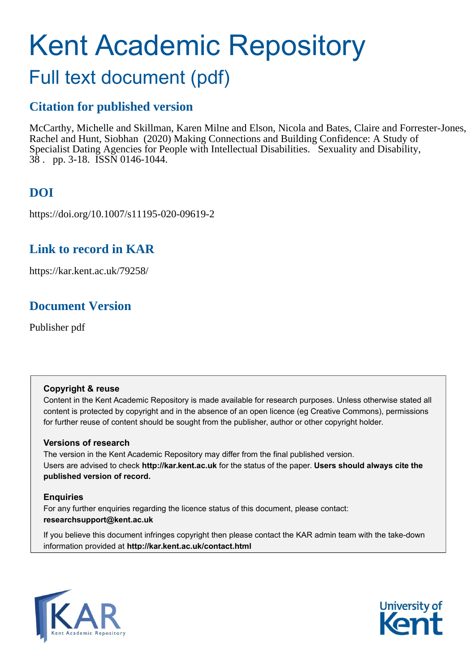# Kent Academic Repository

## Full text document (pdf)

### **Citation for published version**

McCarthy, Michelle and Skillman, Karen Milne and Elson, Nicola and Bates, Claire and Forrester-Jones, Rachel and Hunt, Siobhan (2020) Making Connections and Building Confidence: A Study of Specialist Dating Agencies for People with Intellectual Disabilities. Sexuality and Disability, 38 . pp. 3-18. ISSN 0146-1044.

## **DOI**

https://doi.org/10.1007/s11195-020-09619-2

## **Link to record in KAR**

https://kar.kent.ac.uk/79258/

## **Document Version**

Publisher pdf

#### **Copyright & reuse**

Content in the Kent Academic Repository is made available for research purposes. Unless otherwise stated all content is protected by copyright and in the absence of an open licence (eg Creative Commons), permissions for further reuse of content should be sought from the publisher, author or other copyright holder.

#### **Versions of research**

The version in the Kent Academic Repository may differ from the final published version. Users are advised to check **http://kar.kent.ac.uk** for the status of the paper. **Users should always cite the published version of record.**

#### **Enquiries**

For any further enquiries regarding the licence status of this document, please contact: **researchsupport@kent.ac.uk**

If you believe this document infringes copyright then please contact the KAR admin team with the take-down information provided at **http://kar.kent.ac.uk/contact.html**



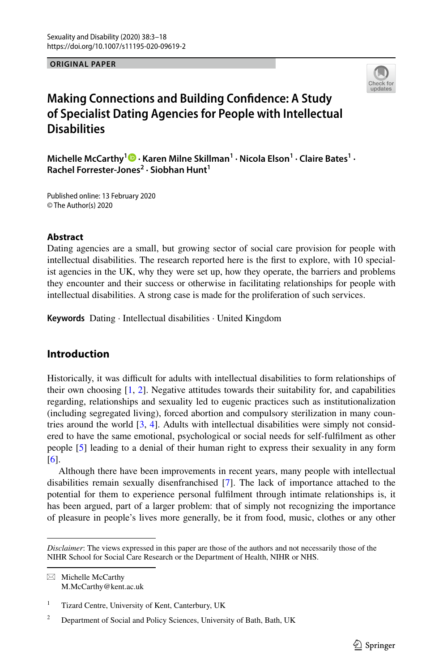**ORIGINAL PAPER**



#### **Making Connections and Building Confdence: A Study of Specialist Dating Agencies for People with Intellectual Disabilities**

MichelleMcCarthy<sup>1</sup> <sup>1</sup> · Karen Milne Skillman<sup>1</sup> · Nicola Elson<sup>1</sup> · Claire Bates<sup>1</sup> · **Rachel Forrester‑Jones2 · Siobhan Hunt1**

Published online: 13 February 2020 © The Author(s) 2020

#### **Abstract**

Dating agencies are a small, but growing sector of social care provision for people with intellectual disabilities. The research reported here is the frst to explore, with 10 specialist agencies in the UK, why they were set up, how they operate, the barriers and problems they encounter and their success or otherwise in facilitating relationships for people with intellectual disabilities. A strong case is made for the proliferation of such services.

**Keywords** Dating · Intellectual disabilities · United Kingdom

#### **Introduction**

Historically, it was difcult for adults with intellectual disabilities to form relationships of their own choosing [1, 2]. Negative attitudes towards their suitability for, and capabilities regarding, relationships and sexuality led to eugenic practices such as institutionalization (including segregated living), forced abortion and compulsory sterilization in many countries around the world  $[3, 4]$ . Adults with intellectual disabilities were simply not considered to have the same emotional, psychological or social needs for self-fulflment as other people [5] leading to a denial of their human right to express their sexuality in any form [6].

Although there have been improvements in recent years, many people with intellectual disabilities remain sexually disenfranchised [7]. The lack of importance attached to the potential for them to experience personal fulflment through intimate relationships is, it has been argued, part of a larger problem: that of simply not recognizing the importance of pleasure in people's lives more generally, be it from food, music, clothes or any other

 $\boxtimes$  Michelle McCarthy M.McCarthy@kent.ac.uk

*Disclaimer*: The views expressed in this paper are those of the authors and not necessarily those of the NIHR School for Social Care Research or the Department of Health, NIHR or NHS.

<sup>&</sup>lt;sup>1</sup> Tizard Centre, University of Kent, Canterbury, UK

<sup>&</sup>lt;sup>2</sup> Department of Social and Policy Sciences, University of Bath, Bath, UK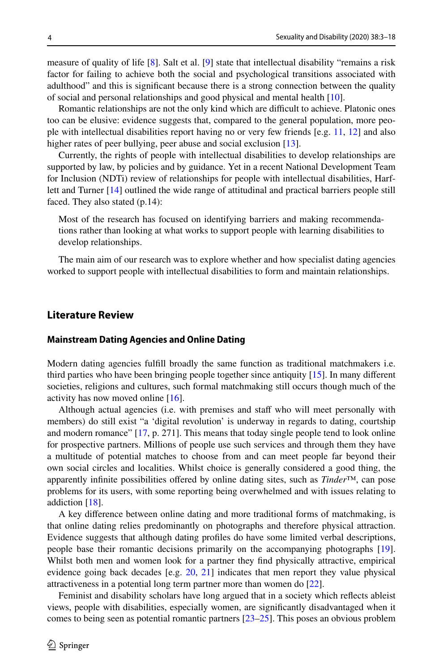measure of quality of life [8]. Salt et al. [9] state that intellectual disability "remains a risk factor for failing to achieve both the social and psychological transitions associated with adulthood" and this is signifcant because there is a strong connection between the quality of social and personal relationships and good physical and mental health [10].

Romantic relationships are not the only kind which are difficult to achieve. Platonic ones too can be elusive: evidence suggests that, compared to the general population, more people with intellectual disabilities report having no or very few friends [e.g. 11, 12] and also higher rates of peer bullying, peer abuse and social exclusion [13].

Currently, the rights of people with intellectual disabilities to develop relationships are supported by law, by policies and by guidance. Yet in a recent National Development Team for Inclusion (NDTi) review of relationships for people with intellectual disabilities, Harflett and Turner [14] outlined the wide range of attitudinal and practical barriers people still faced. They also stated (p.14):

Most of the research has focused on identifying barriers and making recommendations rather than looking at what works to support people with learning disabilities to develop relationships.

The main aim of our research was to explore whether and how specialist dating agencies worked to support people with intellectual disabilities to form and maintain relationships.

#### **Literature Review**

#### **Mainstream Dating Agencies and Online Dating**

Modern dating agencies fulfll broadly the same function as traditional matchmakers i.e. third parties who have been bringing people together since antiquity [15]. In many diferent societies, religions and cultures, such formal matchmaking still occurs though much of the activity has now moved online [16].

Although actual agencies (i.e. with premises and staf who will meet personally with members) do still exist "a 'digital revolution' is underway in regards to dating, courtship and modern romance" [17, p. 271]. This means that today single people tend to look online for prospective partners. Millions of people use such services and through them they have a multitude of potential matches to choose from and can meet people far beyond their own social circles and localities. Whilst choice is generally considered a good thing, the apparently infnite possibilities ofered by online dating sites, such as *Tinder™*, can pose problems for its users, with some reporting being overwhelmed and with issues relating to addiction [18].

A key diference between online dating and more traditional forms of matchmaking, is that online dating relies predominantly on photographs and therefore physical attraction. Evidence suggests that although dating profles do have some limited verbal descriptions, people base their romantic decisions primarily on the accompanying photographs [19]. Whilst both men and women look for a partner they fnd physically attractive, empirical evidence going back decades [e.g. 20, 21] indicates that men report they value physical attractiveness in a potential long term partner more than women do [22].

Feminist and disability scholars have long argued that in a society which refects ableist views, people with disabilities, especially women, are signifcantly disadvantaged when it comes to being seen as potential romantic partners [23–25]. This poses an obvious problem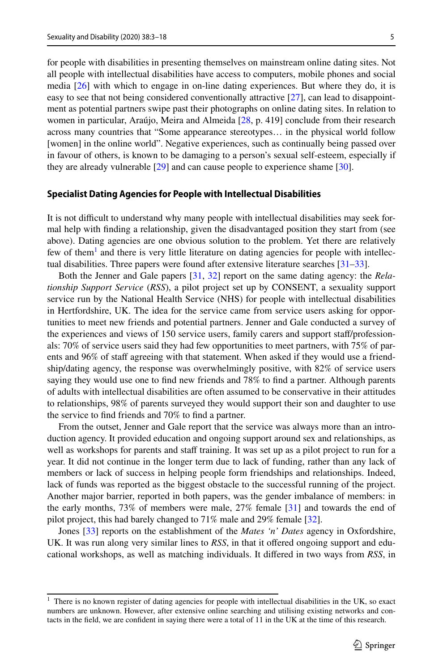for people with disabilities in presenting themselves on mainstream online dating sites. Not all people with intellectual disabilities have access to computers, mobile phones and social media [26] with which to engage in on-line dating experiences. But where they do, it is easy to see that not being considered conventionally attractive [27], can lead to disappointment as potential partners swipe past their photographs on online dating sites. In relation to women in particular, Araújo, Meira and Almeida [28, p. 419] conclude from their research across many countries that "Some appearance stereotypes… in the physical world follow [women] in the online world". Negative experiences, such as continually being passed over in favour of others, is known to be damaging to a person's sexual self-esteem, especially if they are already vulnerable [29] and can cause people to experience shame [30].

#### **Specialist Dating Agencies for People with Intellectual Disabilities**

It is not difficult to understand why many people with intellectual disabilities may seek formal help with fnding a relationship, given the disadvantaged position they start from (see above). Dating agencies are one obvious solution to the problem. Yet there are relatively few of them<sup>1</sup> and there is very little literature on dating agencies for people with intellectual disabilities. Three papers were found after extensive literature searches [31–33].

Both the Jenner and Gale papers [31, 32] report on the same dating agency: the *Relationship Support Service* (*RSS*), a pilot project set up by CONSENT, a sexuality support service run by the National Health Service (NHS) for people with intellectual disabilities in Hertfordshire, UK. The idea for the service came from service users asking for opportunities to meet new friends and potential partners. Jenner and Gale conducted a survey of the experiences and views of 150 service users, family carers and support staf/professionals: 70% of service users said they had few opportunities to meet partners, with 75% of parents and 96% of staff agreeing with that statement. When asked if they would use a friendship/dating agency, the response was overwhelmingly positive, with 82% of service users saying they would use one to fnd new friends and 78% to fnd a partner. Although parents of adults with intellectual disabilities are often assumed to be conservative in their attitudes to relationships, 98% of parents surveyed they would support their son and daughter to use the service to fnd friends and 70% to fnd a partner.

From the outset, Jenner and Gale report that the service was always more than an introduction agency. It provided education and ongoing support around sex and relationships, as well as workshops for parents and staff training. It was set up as a pilot project to run for a year. It did not continue in the longer term due to lack of funding, rather than any lack of members or lack of success in helping people form friendships and relationships. Indeed, lack of funds was reported as the biggest obstacle to the successful running of the project. Another major barrier, reported in both papers, was the gender imbalance of members: in the early months, 73% of members were male, 27% female [31] and towards the end of pilot project, this had barely changed to 71% male and 29% female [32].

Jones [33] reports on the establishment of the *Mates 'n' Dates* agency in Oxfordshire, UK. It was run along very similar lines to *RSS*, in that it ofered ongoing support and educational workshops, as well as matching individuals. It difered in two ways from *RSS*, in

<sup>&</sup>lt;sup>1</sup> There is no known register of dating agencies for people with intellectual disabilities in the UK, so exact numbers are unknown. However, after extensive online searching and utilising existing networks and contacts in the feld, we are confdent in saying there were a total of 11 in the UK at the time of this research.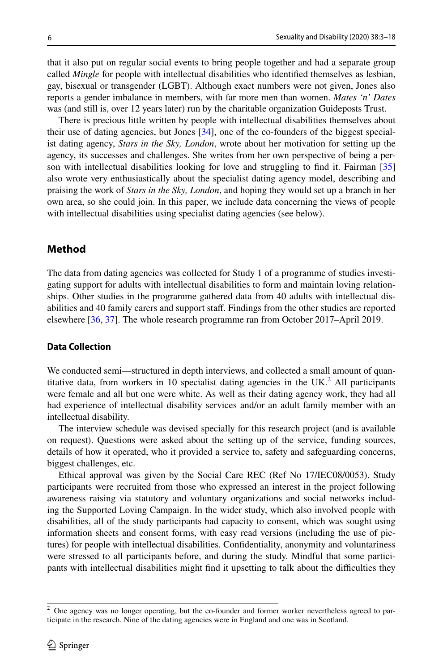that it also put on regular social events to bring people together and had a separate group called *Mingle* for people with intellectual disabilities who identifed themselves as lesbian, gay, bisexual or transgender (LGBT). Although exact numbers were not given, Jones also reports a gender imbalance in members, with far more men than women. *Mates 'n' Dates* was (and still is, over 12 years later) run by the charitable organization Guideposts Trust.

There is precious little written by people with intellectual disabilities themselves about their use of dating agencies, but Jones [34], one of the co-founders of the biggest specialist dating agency, *Stars in the Sky, London*, wrote about her motivation for setting up the agency, its successes and challenges. She writes from her own perspective of being a person with intellectual disabilities looking for love and struggling to fnd it. Fairman [35] also wrote very enthusiastically about the specialist dating agency model, describing and praising the work of *Stars in the Sky, London*, and hoping they would set up a branch in her own area, so she could join. In this paper, we include data concerning the views of people with intellectual disabilities using specialist dating agencies (see below).

#### **Method**

The data from dating agencies was collected for Study 1 of a programme of studies investigating support for adults with intellectual disabilities to form and maintain loving relationships. Other studies in the programme gathered data from 40 adults with intellectual disabilities and 40 family carers and support staf. Findings from the other studies are reported elsewhere [36, 37]. The whole research programme ran from October 2017–April 2019.

#### **Data Collection**

We conducted semi—structured in depth interviews, and collected a small amount of quantitative data, from workers in 10 specialist dating agencies in the  $UK<sup>2</sup>$  All participants were female and all but one were white. As well as their dating agency work, they had all had experience of intellectual disability services and/or an adult family member with an intellectual disability.

The interview schedule was devised specially for this research project (and is available on request). Questions were asked about the setting up of the service, funding sources, details of how it operated, who it provided a service to, safety and safeguarding concerns, biggest challenges, etc.

Ethical approval was given by the Social Care REC (Ref No 17/IEC08/0053). Study participants were recruited from those who expressed an interest in the project following awareness raising via statutory and voluntary organizations and social networks including the Supported Loving Campaign. In the wider study, which also involved people with disabilities, all of the study participants had capacity to consent, which was sought using information sheets and consent forms, with easy read versions (including the use of pictures) for people with intellectual disabilities. Confdentiality, anonymity and voluntariness were stressed to all participants before, and during the study. Mindful that some participants with intellectual disabilities might find it upsetting to talk about the difficulties they

 $2$  One agency was no longer operating, but the co-founder and former worker nevertheless agreed to participate in the research. Nine of the dating agencies were in England and one was in Scotland.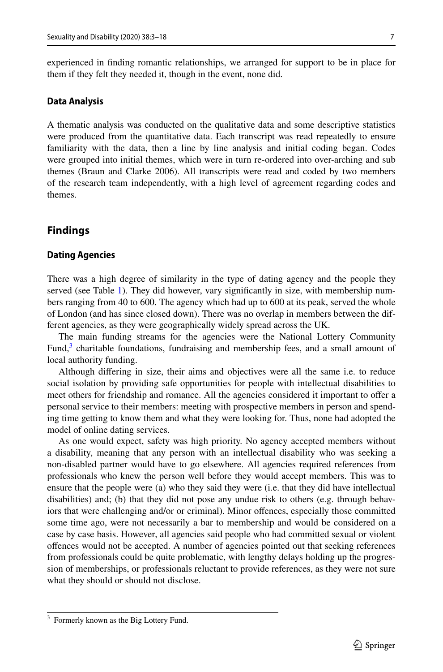experienced in fnding romantic relationships, we arranged for support to be in place for them if they felt they needed it, though in the event, none did.

#### **Data Analysis**

A thematic analysis was conducted on the qualitative data and some descriptive statistics were produced from the quantitative data. Each transcript was read repeatedly to ensure familiarity with the data, then a line by line analysis and initial coding began. Codes were grouped into initial themes, which were in turn re-ordered into over-arching and sub themes (Braun and Clarke 2006). All transcripts were read and coded by two members of the research team independently, with a high level of agreement regarding codes and themes.

#### **Findings**

#### **Dating Agencies**

There was a high degree of similarity in the type of dating agency and the people they served (see Table 1). They did however, vary signifcantly in size, with membership numbers ranging from 40 to 600. The agency which had up to 600 at its peak, served the whole of London (and has since closed down). There was no overlap in members between the different agencies, as they were geographically widely spread across the UK.

The main funding streams for the agencies were the National Lottery Community Fund, $3$  charitable foundations, fundraising and membership fees, and a small amount of local authority funding.

Although difering in size, their aims and objectives were all the same i.e. to reduce social isolation by providing safe opportunities for people with intellectual disabilities to meet others for friendship and romance. All the agencies considered it important to ofer a personal service to their members: meeting with prospective members in person and spending time getting to know them and what they were looking for. Thus, none had adopted the model of online dating services.

As one would expect, safety was high priority. No agency accepted members without a disability, meaning that any person with an intellectual disability who was seeking a non-disabled partner would have to go elsewhere. All agencies required references from professionals who knew the person well before they would accept members. This was to ensure that the people were (a) who they said they were (i.e. that they did have intellectual disabilities) and; (b) that they did not pose any undue risk to others (e.g. through behaviors that were challenging and/or or criminal). Minor ofences, especially those committed some time ago, were not necessarily a bar to membership and would be considered on a case by case basis. However, all agencies said people who had committed sexual or violent ofences would not be accepted. A number of agencies pointed out that seeking references from professionals could be quite problematic, with lengthy delays holding up the progression of memberships, or professionals reluctant to provide references, as they were not sure what they should or should not disclose.

<sup>&</sup>lt;sup>3</sup> Formerly known as the Big Lottery Fund.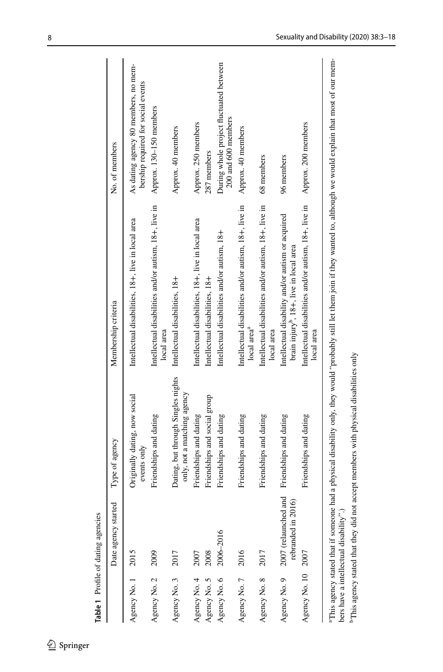|                    | Table 1 Profile of dating agencies         |                                                                   |                                                                                                                                                                                 |                                                                            |
|--------------------|--------------------------------------------|-------------------------------------------------------------------|---------------------------------------------------------------------------------------------------------------------------------------------------------------------------------|----------------------------------------------------------------------------|
|                    | Date agency started                        | Type of agency                                                    | Membership criteria                                                                                                                                                             | No. of members                                                             |
| Agency No. 1       | 2015                                       | Originally dating, now social<br>events only                      | Intellectual disabilities, 18+, live in local area                                                                                                                              | As dating agency 80 members, no mem-<br>bership required for social events |
| Agency No. 2       | 2009                                       | Friendships and dating                                            | Intellectual disabilities and/or autism, 18+, live in<br>local area                                                                                                             | Approx. 130-150 members                                                    |
| Agency No. 3       | 2017                                       | Dating, but through Singles nights<br>only, not a matching agency | Intellectual disabilities, 18+                                                                                                                                                  | Approx. 40 members                                                         |
| Agency No. 4       | 2007                                       | Friendships and dating                                            | Intellectual disabilities, 18+, live in local area                                                                                                                              | Approx. 250 members                                                        |
| Agency No. 5       | 2008                                       | Friendships and social group                                      | Intellectual disabilities, 18+                                                                                                                                                  | 287 members                                                                |
| Agency No. 6       | 2006-2016                                  | Friendships and dating                                            | Intellectual disabilities and/or autism, 18+                                                                                                                                    | During whole project fluctuated between<br>200 and 600 members             |
| Agency No. 7       | 2016                                       | Friendships and dating                                            | Intellectual disabilities and/or autism, 18+, live in<br>local area <sup>a</sup>                                                                                                | Approx. 40 members                                                         |
| Agency No. 8       | 2017                                       | Friendships and dating                                            | Intellectual disabilities and/or autism, 18+, live in<br>local area                                                                                                             | 68 members                                                                 |
| Agency No. 9       | 2007 (relaunched and<br>rebranded in 2016) | Friendships and dating                                            | Intellectual disability and/or autism or acquired<br>brain injury <sup>b</sup> , 18+, live in local area                                                                        | 96 members                                                                 |
| Agency No. 10 2007 |                                            | Friendships and dating                                            | Intellectual disabilities and/or autism, 18+, live in<br>local area                                                                                                             | Approx. 200 members                                                        |
|                    | bers have a intellectual disability".)     |                                                                   | "This agency stated that if someone had a physical disability only, they would "probably still let them join if they wanted to, although we would explain that most of our mem- |                                                                            |

<sup>b</sup>This agency stated that they did not accept members with physical disabilities only bThis agency stated that they did not accept members with physical disabilities only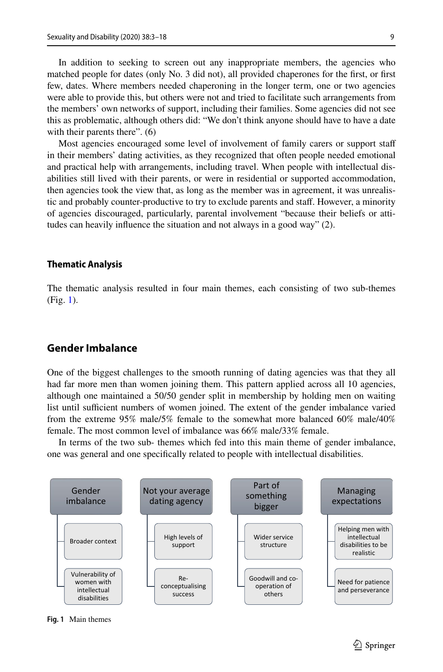In addition to seeking to screen out any inappropriate members, the agencies who matched people for dates (only No. 3 did not), all provided chaperones for the frst, or frst few, dates. Where members needed chaperoning in the longer term, one or two agencies were able to provide this, but others were not and tried to facilitate such arrangements from the members' own networks of support, including their families. Some agencies did not see this as problematic, although others did: "We don't think anyone should have to have a date with their parents there". (6)

Most agencies encouraged some level of involvement of family carers or support staf in their members' dating activities, as they recognized that often people needed emotional and practical help with arrangements, including travel. When people with intellectual disabilities still lived with their parents, or were in residential or supported accommodation, then agencies took the view that, as long as the member was in agreement, it was unrealistic and probably counter-productive to try to exclude parents and staf. However, a minority of agencies discouraged, particularly, parental involvement "because their beliefs or attitudes can heavily infuence the situation and not always in a good way" (2).

#### **Thematic Analysis**

The thematic analysis resulted in four main themes, each consisting of two sub-themes (Fig. 1).

#### **Gender Imbalance**

One of the biggest challenges to the smooth running of dating agencies was that they all had far more men than women joining them. This pattern applied across all 10 agencies, although one maintained a 50/50 gender split in membership by holding men on waiting list until sufficient numbers of women joined. The extent of the gender imbalance varied from the extreme 95% male/5% female to the somewhat more balanced 60% male/40% female. The most common level of imbalance was 66% male/33% female.

In terms of the two sub- themes which fed into this main theme of gender imbalance, one was general and one specifcally related to people with intellectual disabilities.



**Fig. 1** Main themes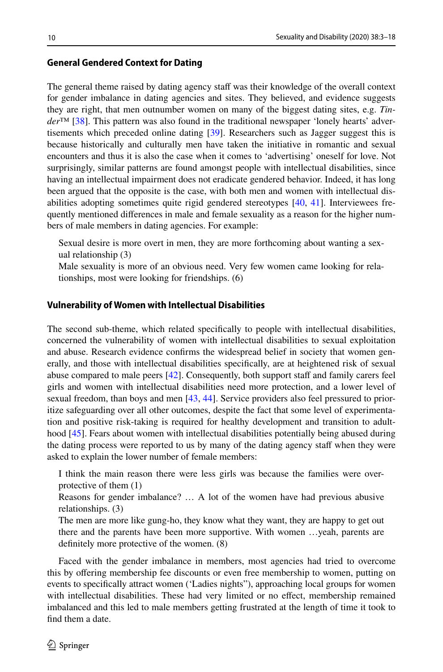#### **General Gendered Context for Dating**

The general theme raised by dating agency staff was their knowledge of the overall context for gender imbalance in dating agencies and sites. They believed, and evidence suggests they are right, that men outnumber women on many of the biggest dating sites, e.g. *Tinder*™ [38]. This pattern was also found in the traditional newspaper 'lonely hearts' advertisements which preceded online dating [39]. Researchers such as Jagger suggest this is because historically and culturally men have taken the initiative in romantic and sexual encounters and thus it is also the case when it comes to 'advertising' oneself for love. Not surprisingly, similar patterns are found amongst people with intellectual disabilities, since having an intellectual impairment does not eradicate gendered behavior. Indeed, it has long been argued that the opposite is the case, with both men and women with intellectual disabilities adopting sometimes quite rigid gendered stereotypes [40, 41]. Interviewees frequently mentioned diferences in male and female sexuality as a reason for the higher numbers of male members in dating agencies. For example:

Sexual desire is more overt in men, they are more forthcoming about wanting a sexual relationship (3)

Male sexuality is more of an obvious need. Very few women came looking for relationships, most were looking for friendships. (6)

#### **Vulnerability of Women with Intellectual Disabilities**

The second sub-theme, which related specifcally to people with intellectual disabilities, concerned the vulnerability of women with intellectual disabilities to sexual exploitation and abuse. Research evidence confrms the widespread belief in society that women generally, and those with intellectual disabilities specifcally, are at heightened risk of sexual abuse compared to male peers [42]. Consequently, both support staff and family carers feel girls and women with intellectual disabilities need more protection, and a lower level of sexual freedom, than boys and men [43, 44]. Service providers also feel pressured to prioritize safeguarding over all other outcomes, despite the fact that some level of experimentation and positive risk‐taking is required for healthy development and transition to adulthood [45]. Fears about women with intellectual disabilities potentially being abused during the dating process were reported to us by many of the dating agency staff when they were asked to explain the lower number of female members:

I think the main reason there were less girls was because the families were overprotective of them (1)

Reasons for gender imbalance? … A lot of the women have had previous abusive relationships. (3)

The men are more like gung-ho, they know what they want, they are happy to get out there and the parents have been more supportive. With women …yeah, parents are defnitely more protective of the women. (8)

Faced with the gender imbalance in members, most agencies had tried to overcome this by ofering membership fee discounts or even free membership to women, putting on events to specifcally attract women ('Ladies nights"), approaching local groups for women with intellectual disabilities. These had very limited or no efect, membership remained imbalanced and this led to male members getting frustrated at the length of time it took to fnd them a date.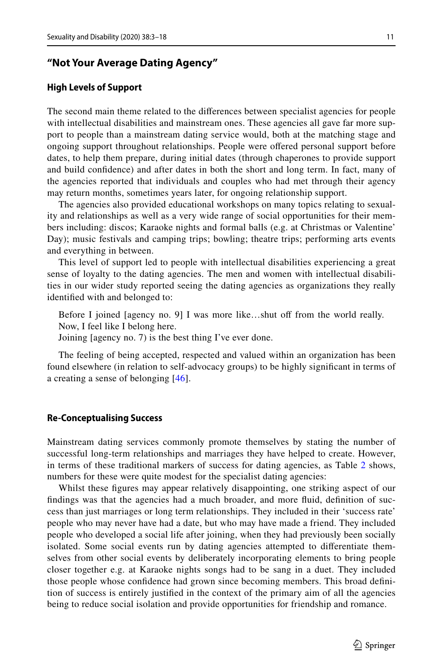#### **"Not Your Average Dating Agency"**

#### **High Levels of Support**

The second main theme related to the diferences between specialist agencies for people with intellectual disabilities and mainstream ones. These agencies all gave far more support to people than a mainstream dating service would, both at the matching stage and ongoing support throughout relationships. People were ofered personal support before dates, to help them prepare, during initial dates (through chaperones to provide support and build confdence) and after dates in both the short and long term. In fact, many of the agencies reported that individuals and couples who had met through their agency may return months, sometimes years later, for ongoing relationship support.

The agencies also provided educational workshops on many topics relating to sexuality and relationships as well as a very wide range of social opportunities for their members including: discos; Karaoke nights and formal balls (e.g. at Christmas or Valentine' Day); music festivals and camping trips; bowling; theatre trips; performing arts events and everything in between.

This level of support led to people with intellectual disabilities experiencing a great sense of loyalty to the dating agencies. The men and women with intellectual disabilities in our wider study reported seeing the dating agencies as organizations they really identifed with and belonged to:

Before I joined [agency no. 9] I was more like...shut off from the world really. Now, I feel like I belong here.

Joining [agency no. 7) is the best thing I've ever done.

The feeling of being accepted, respected and valued within an organization has been found elsewhere (in relation to self-advocacy groups) to be highly signifcant in terms of a creating a sense of belonging [46].

#### **Re‑Conceptualising Success**

Mainstream dating services commonly promote themselves by stating the number of successful long-term relationships and marriages they have helped to create. However, in terms of these traditional markers of success for dating agencies, as Table 2 shows, numbers for these were quite modest for the specialist dating agencies:

Whilst these fgures may appear relatively disappointing, one striking aspect of our fndings was that the agencies had a much broader, and more fuid, defnition of success than just marriages or long term relationships. They included in their 'success rate' people who may never have had a date, but who may have made a friend. They included people who developed a social life after joining, when they had previously been socially isolated. Some social events run by dating agencies attempted to diferentiate themselves from other social events by deliberately incorporating elements to bring people closer together e.g. at Karaoke nights songs had to be sang in a duet. They included those people whose confdence had grown since becoming members. This broad defnition of success is entirely justifed in the context of the primary aim of all the agencies being to reduce social isolation and provide opportunities for friendship and romance.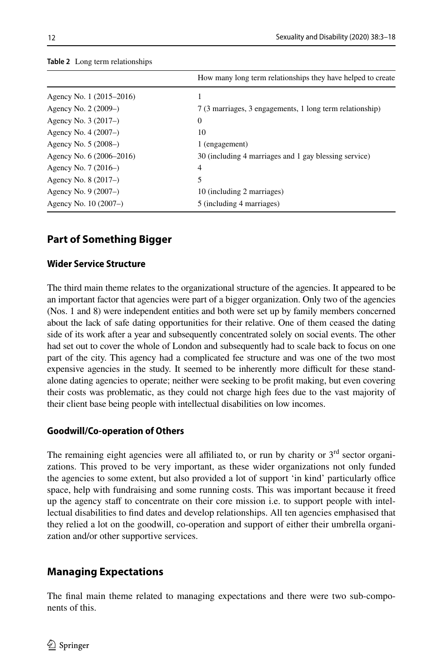|                          | How many long term relationships they have helped to create |
|--------------------------|-------------------------------------------------------------|
| Agency No. 1 (2015–2016) |                                                             |
| Agency No. 2 (2009–)     | 7 (3 marriages, 3 engagements, 1 long term relationship)    |
| Agency No. 3 (2017–)     | $\overline{0}$                                              |
| Agency No. $4(2007-)$    | 10                                                          |
| Agency No. 5 (2008–)     | 1 (engagement)                                              |
| Agency No. 6 (2006–2016) | 30 (including 4 marriages and 1 gay blessing service)       |
| Agency No. 7 (2016–)     | 4                                                           |
| Agency No. 8 (2017–)     | 5                                                           |
| Agency No. 9 (2007–)     | 10 (including 2 marriages)                                  |
| Agency No. $10(2007)$    | 5 (including 4 marriages)                                   |

**Table 2** Long term relationships

#### **Part of Something Bigger**

#### **Wider Service Structure**

The third main theme relates to the organizational structure of the agencies. It appeared to be an important factor that agencies were part of a bigger organization. Only two of the agencies (Nos. 1 and 8) were independent entities and both were set up by family members concerned about the lack of safe dating opportunities for their relative. One of them ceased the dating side of its work after a year and subsequently concentrated solely on social events. The other had set out to cover the whole of London and subsequently had to scale back to focus on one part of the city. This agency had a complicated fee structure and was one of the two most expensive agencies in the study. It seemed to be inherently more difficult for these standalone dating agencies to operate; neither were seeking to be proft making, but even covering their costs was problematic, as they could not charge high fees due to the vast majority of their client base being people with intellectual disabilities on low incomes.

#### **Goodwill/Co‑operation of Others**

The remaining eight agencies were all affiliated to, or run by charity or  $3<sup>rd</sup>$  sector organizations. This proved to be very important, as these wider organizations not only funded the agencies to some extent, but also provided a lot of support 'in kind' particularly office space, help with fundraising and some running costs. This was important because it freed up the agency staf to concentrate on their core mission i.e. to support people with intellectual disabilities to fnd dates and develop relationships. All ten agencies emphasised that they relied a lot on the goodwill, co-operation and support of either their umbrella organization and/or other supportive services.

#### **Managing Expectations**

The fnal main theme related to managing expectations and there were two sub-components of this.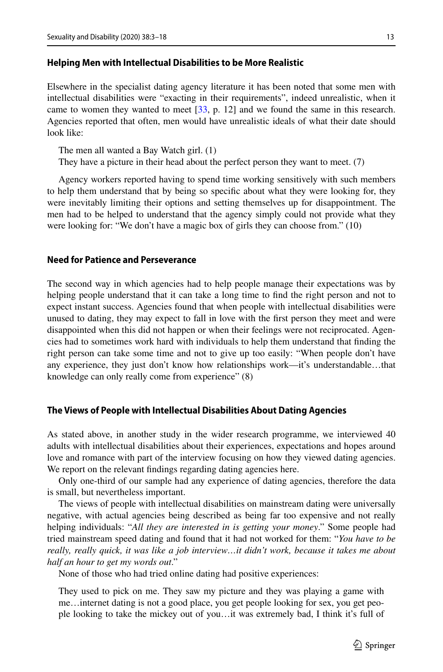#### **Helping Men with Intellectual Disabilities to be More Realistic**

Elsewhere in the specialist dating agency literature it has been noted that some men with intellectual disabilities were "exacting in their requirements", indeed unrealistic, when it came to women they wanted to meet [33, p. 12] and we found the same in this research. Agencies reported that often, men would have unrealistic ideals of what their date should look like:

The men all wanted a Bay Watch girl. (1) They have a picture in their head about the perfect person they want to meet. (7)

Agency workers reported having to spend time working sensitively with such members to help them understand that by being so specifc about what they were looking for, they were inevitably limiting their options and setting themselves up for disappointment. The men had to be helped to understand that the agency simply could not provide what they were looking for: "We don't have a magic box of girls they can choose from." (10)

#### **Need for Patience and Perseverance**

The second way in which agencies had to help people manage their expectations was by helping people understand that it can take a long time to fnd the right person and not to expect instant success. Agencies found that when people with intellectual disabilities were unused to dating, they may expect to fall in love with the frst person they meet and were disappointed when this did not happen or when their feelings were not reciprocated. Agencies had to sometimes work hard with individuals to help them understand that fnding the right person can take some time and not to give up too easily: "When people don't have any experience, they just don't know how relationships work—it's understandable…that knowledge can only really come from experience" (8)

#### **The Views of People with Intellectual Disabilities About Dating Agencies**

As stated above, in another study in the wider research programme, we interviewed 40 adults with intellectual disabilities about their experiences, expectations and hopes around love and romance with part of the interview focusing on how they viewed dating agencies. We report on the relevant findings regarding dating agencies here.

Only one-third of our sample had any experience of dating agencies, therefore the data is small, but nevertheless important.

The views of people with intellectual disabilities on mainstream dating were universally negative, with actual agencies being described as being far too expensive and not really helping individuals: "*All they are interested in is getting your money*." Some people had tried mainstream speed dating and found that it had not worked for them: "*You have to be really, really quick, it was like a job interview…it didn't work, because it takes me about half an hour to get my words out*."

None of those who had tried online dating had positive experiences:

They used to pick on me. They saw my picture and they was playing a game with me…internet dating is not a good place, you get people looking for sex, you get people looking to take the mickey out of you…it was extremely bad, I think it's full of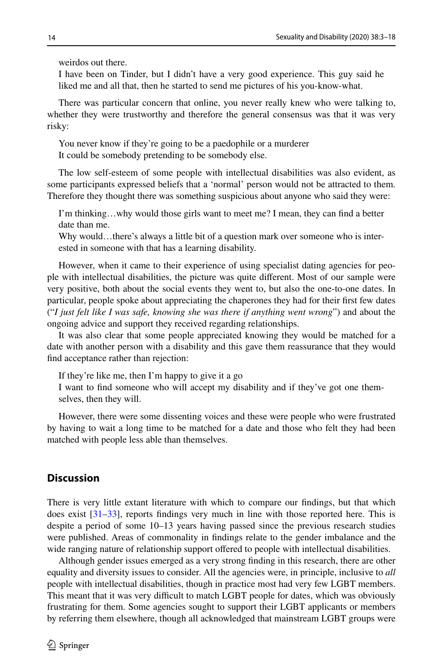weirdos out there.

I have been on Tinder, but I didn't have a very good experience. This guy said he liked me and all that, then he started to send me pictures of his you-know-what.

There was particular concern that online, you never really knew who were talking to, whether they were trustworthy and therefore the general consensus was that it was very risky:

You never know if they're going to be a paedophile or a murderer It could be somebody pretending to be somebody else.

The low self-esteem of some people with intellectual disabilities was also evident, as some participants expressed beliefs that a 'normal' person would not be attracted to them. Therefore they thought there was something suspicious about anyone who said they were:

I'm thinking…why would those girls want to meet me? I mean, they can fnd a better date than me.

Why would…there's always a little bit of a question mark over someone who is interested in someone with that has a learning disability.

However, when it came to their experience of using specialist dating agencies for people with intellectual disabilities, the picture was quite diferent. Most of our sample were very positive, both about the social events they went to, but also the one-to-one dates. In particular, people spoke about appreciating the chaperones they had for their frst few dates ("*I just felt like I was safe, knowing she was there if anything went wrong*") and about the ongoing advice and support they received regarding relationships.

It was also clear that some people appreciated knowing they would be matched for a date with another person with a disability and this gave them reassurance that they would fnd acceptance rather than rejection:

If they're like me, then I'm happy to give it a go

I want to fnd someone who will accept my disability and if they've got one themselves, then they will.

However, there were some dissenting voices and these were people who were frustrated by having to wait a long time to be matched for a date and those who felt they had been matched with people less able than themselves.

#### **Discussion**

There is very little extant literature with which to compare our fndings, but that which does exist [31–33], reports fndings very much in line with those reported here. This is despite a period of some 10–13 years having passed since the previous research studies were published. Areas of commonality in fndings relate to the gender imbalance and the wide ranging nature of relationship support offered to people with intellectual disabilities.

Although gender issues emerged as a very strong fnding in this research, there are other equality and diversity issues to consider. All the agencies were, in principle, inclusive to *all* people with intellectual disabilities, though in practice most had very few LGBT members. This meant that it was very difficult to match LGBT people for dates, which was obviously frustrating for them. Some agencies sought to support their LGBT applicants or members by referring them elsewhere, though all acknowledged that mainstream LGBT groups were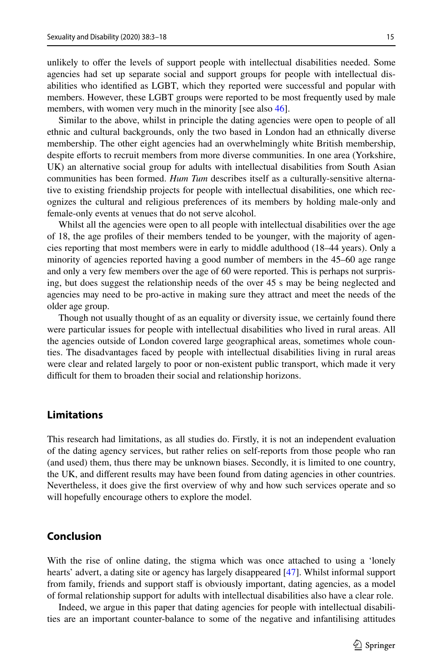unlikely to ofer the levels of support people with intellectual disabilities needed. Some agencies had set up separate social and support groups for people with intellectual disabilities who identifed as LGBT, which they reported were successful and popular with members. However, these LGBT groups were reported to be most frequently used by male members, with women very much in the minority [see also 46].

Similar to the above, whilst in principle the dating agencies were open to people of all ethnic and cultural backgrounds, only the two based in London had an ethnically diverse membership. The other eight agencies had an overwhelmingly white British membership, despite eforts to recruit members from more diverse communities. In one area (Yorkshire, UK) an alternative social group for adults with intellectual disabilities from South Asian communities has been formed. *Hum Tum* describes itself as a culturally-sensitive alternative to existing friendship projects for people with intellectual disabilities, one which recognizes the cultural and religious preferences of its members by holding male-only and female-only events at venues that do not serve alcohol.

Whilst all the agencies were open to all people with intellectual disabilities over the age of 18, the age profles of their members tended to be younger, with the majority of agencies reporting that most members were in early to middle adulthood (18–44 years). Only a minority of agencies reported having a good number of members in the 45–60 age range and only a very few members over the age of 60 were reported. This is perhaps not surprising, but does suggest the relationship needs of the over 45 s may be being neglected and agencies may need to be pro-active in making sure they attract and meet the needs of the older age group.

Though not usually thought of as an equality or diversity issue, we certainly found there were particular issues for people with intellectual disabilities who lived in rural areas. All the agencies outside of London covered large geographical areas, sometimes whole counties. The disadvantages faced by people with intellectual disabilities living in rural areas were clear and related largely to poor or non-existent public transport, which made it very difficult for them to broaden their social and relationship horizons.

#### **Limitations**

This research had limitations, as all studies do. Firstly, it is not an independent evaluation of the dating agency services, but rather relies on self-reports from those people who ran (and used) them, thus there may be unknown biases. Secondly, it is limited to one country, the UK, and diferent results may have been found from dating agencies in other countries. Nevertheless, it does give the frst overview of why and how such services operate and so will hopefully encourage others to explore the model.

#### **Conclusion**

With the rise of online dating, the stigma which was once attached to using a 'lonely hearts' advert, a dating site or agency has largely disappeared [47]. Whilst informal support from family, friends and support staff is obviously important, dating agencies, as a model of formal relationship support for adults with intellectual disabilities also have a clear role.

Indeed, we argue in this paper that dating agencies for people with intellectual disabilities are an important counter-balance to some of the negative and infantilising attitudes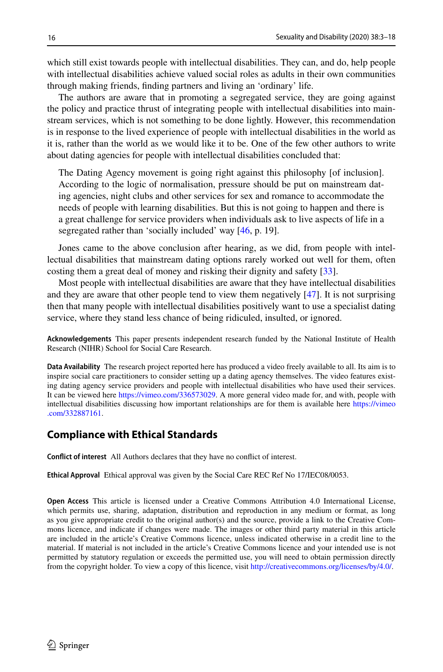which still exist towards people with intellectual disabilities. They can, and do, help people with intellectual disabilities achieve valued social roles as adults in their own communities through making friends, fnding partners and living an 'ordinary' life.

The authors are aware that in promoting a segregated service, they are going against the policy and practice thrust of integrating people with intellectual disabilities into mainstream services, which is not something to be done lightly. However, this recommendation is in response to the lived experience of people with intellectual disabilities in the world as it is, rather than the world as we would like it to be. One of the few other authors to write about dating agencies for people with intellectual disabilities concluded that:

The Dating Agency movement is going right against this philosophy [of inclusion]. According to the logic of normalisation, pressure should be put on mainstream dating agencies, night clubs and other services for sex and romance to accommodate the needs of people with learning disabilities. But this is not going to happen and there is a great challenge for service providers when individuals ask to live aspects of life in a segregated rather than 'socially included' way [46, p. 19].

Jones came to the above conclusion after hearing, as we did, from people with intellectual disabilities that mainstream dating options rarely worked out well for them, often costing them a great deal of money and risking their dignity and safety [33].

Most people with intellectual disabilities are aware that they have intellectual disabilities and they are aware that other people tend to view them negatively  $[47]$ . It is not surprising then that many people with intellectual disabilities positively want to use a specialist dating service, where they stand less chance of being ridiculed, insulted, or ignored.

**Acknowledgements** This paper presents independent research funded by the National Institute of Health Research (NIHR) School for Social Care Research.

**Data Availability** The research project reported here has produced a video freely available to all. Its aim is to inspire social care practitioners to consider setting up a dating agency themselves. The video features existing dating agency service providers and people with intellectual disabilities who have used their services. It can be viewed here [https://vimeo.com/336573029.](https://vimeo.com/336573029) A more general video made for, and with, people with intellectual disabilities discussing how important relationships are for them is available here [https://vimeo](https://vimeo.com/332887161) [.com/332887161.](https://vimeo.com/332887161)

#### **Compliance with Ethical Standards**

**Confict of interest** All Authors declares that they have no confict of interest.

**Ethical Approval** Ethical approval was given by the Social Care REC Ref No 17/IEC08/0053.

**Open Access** This article is licensed under a Creative Commons Attribution 4.0 International License, which permits use, sharing, adaptation, distribution and reproduction in any medium or format, as long as you give appropriate credit to the original author(s) and the source, provide a link to the Creative Commons licence, and indicate if changes were made. The images or other third party material in this article are included in the article's Creative Commons licence, unless indicated otherwise in a credit line to the material. If material is not included in the article's Creative Commons licence and your intended use is not permitted by statutory regulation or exceeds the permitted use, you will need to obtain permission directly from the copyright holder. To view a copy of this licence, visit [http://creativecommons.org/licenses/by/4.0/.](http://creativecommons.org/licenses/by/4.0/)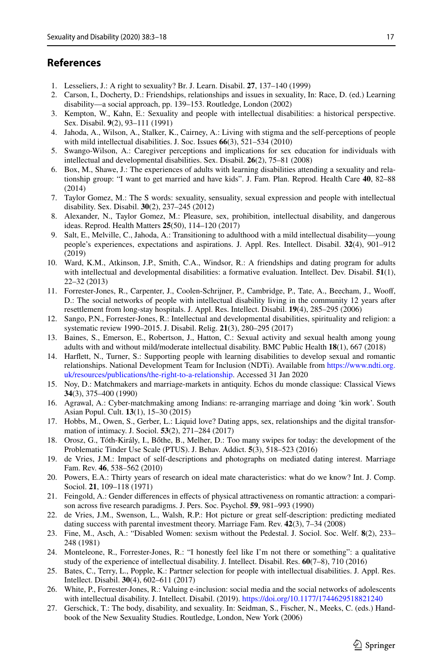#### **References**

- 1. Lesseliers, J.: A right to sexuality? Br. J. Learn. Disabil. **27**, 137–140 (1999)
- 2. Carson, I., Docherty, D.: Friendships, relationships and issues in sexuality, In: Race, D. (ed.) Learning disability—a social approach, pp. 139–153. Routledge, London (2002)
- 3. Kempton, W., Kahn, E.: Sexuality and people with intellectual disabilities: a historical perspective. Sex. Disabil. **9**(2), 93–111 (1991)
- 4. Jahoda, A., Wilson, A., Stalker, K., Cairney, A.: Living with stigma and the self-perceptions of people with mild intellectual disabilities. J. Soc. Issues **66**(3), 521–534 (2010)
- 5. Swango-Wilson, A.: Caregiver perceptions and implications for sex education for individuals with intellectual and developmental disabilities. Sex. Disabil. **26**(2), 75–81 (2008)
- 6. Box, M., Shawe, J.: The experiences of adults with learning disabilities attending a sexuality and relationship group: "I want to get married and have kids". J. Fam. Plan. Reprod. Health Care **40**, 82–88 (2014)
- 7. Taylor Gomez, M.: The S words: sexuality, sensuality, sexual expression and people with intellectual disability. Sex. Disabil. **30**(2), 237–245 (2012)
- 8. Alexander, N., Taylor Gomez, M.: Pleasure, sex, prohibition, intellectual disability, and dangerous ideas. Reprod. Health Matters **25**(50), 114–120 (2017)
- 9. Salt, E., Melville, C., Jahoda, A.: Transitioning to adulthood with a mild intellectual disability—young people's experiences, expectations and aspirations. J. Appl. Res. Intellect. Disabil. **32**(4), 901–912 (2019)
- 10. Ward, K.M., Atkinson, J.P., Smith, C.A., Windsor, R.: A friendships and dating program for adults with intellectual and developmental disabilities: a formative evaluation. Intellect. Dev. Disabil. **51**(1), 22–32 (2013)
- 11. Forrester-Jones, R., Carpenter, J., Coolen-Schrijner, P., Cambridge, P., Tate, A., Beecham, J., Woof, D.: The social networks of people with intellectual disability living in the community 12 years after resettlement from long-stay hospitals. J. Appl. Res. Intellect. Disabil. **19**(4), 285–295 (2006)
- 12. Sango, P.N., Forrester-Jones, R.: Intellectual and developmental disabilities, spirituality and religion: a systematic review 1990–2015. J. Disabil. Relig. **21**(3), 280–295 (2017)
- 13. Baines, S., Emerson, E., Robertson, J., Hatton, C.: Sexual activity and sexual health among young adults with and without mild/moderate intellectual disability. BMC Public Health **18**(1), 667 (2018)
- 14. Harfett, N., Turner, S.: Supporting people with learning disabilities to develop sexual and romantic relationships. National Development Team for Inclusion (NDTi). Available from [https://www.ndti.org.](https://www.ndti.org.uk/resources/publications/the-right-to-a-relationship) [uk/resources/publications/the-right-to-a-relationship](https://www.ndti.org.uk/resources/publications/the-right-to-a-relationship). Accessed 31 Jan 2020
- 15. Noy, D.: Matchmakers and marriage-markets in antiquity. Echos du monde classique: Classical Views **34**(3), 375–400 (1990)
- 16. Agrawal, A.: Cyber-matchmaking among Indians: re-arranging marriage and doing 'kin work'. South Asian Popul. Cult. **13**(1), 15–30 (2015)
- 17. Hobbs, M., Owen, S., Gerber, L.: Liquid love? Dating apps, sex, relationships and the digital transformation of intimacy. J. Sociol. **53**(2), 271–284 (2017)
- 18. Orosz, G., Tóth-Király, I., Bőthe, B., Melher, D.: Too many swipes for today: the development of the Problematic Tinder Use Scale (PTUS). J. Behav. Addict. **5**(3), 518–523 (2016)
- 19. de Vries, J.M.: Impact of self-descriptions and photographs on mediated dating interest. Marriage Fam. Rev. **46**, 538–562 (2010)
- 20. Powers, E.A.: Thirty years of research on ideal mate characteristics: what do we know? Int. J. Comp. Sociol. **21**, 109–118 (1971)
- 21. Feingold, A.: Gender diferences in efects of physical attractiveness on romantic attraction: a comparison across fve research paradigms. J. Pers. Soc. Psychol. **59**, 981–993 (1990)
- 22. de Vries, J.M., Swenson, L., Walsh, R.P.: Hot picture or great self-description: predicting mediated dating success with parental investment theory. Marriage Fam. Rev. **42**(3), 7–34 (2008)
- 23. Fine, M., Asch, A.: "Disabled Women: sexism without the Pedestal. J. Sociol. Soc. Welf. **8**(2), 233– 248 (1981)
- 24. Monteleone, R., Forrester-Jones, R.: "I honestly feel like I'm not there or something": a qualitative study of the experience of intellectual disability. J. Intellect. Disabil. Res. **60**(7–8), 710 (2016)
- 25. Bates, C., Terry, L., Popple, K.: Partner selection for people with intellectual disabilities. J. Appl. Res. Intellect. Disabil. **30**(4), 602–611 (2017)
- 26. White, P., Forrester-Jones, R.: Valuing e-inclusion: social media and the social networks of adolescents with intellectual disability. J. Intellect. Disabil. (2019).<https://doi.org/10.1177/1744629518821240>
- 27. Gerschick, T.: The body, disability, and sexuality. In: Seidman, S., Fischer, N., Meeks, C. (eds.) Handbook of the New Sexuality Studies. Routledge, London, New York (2006)